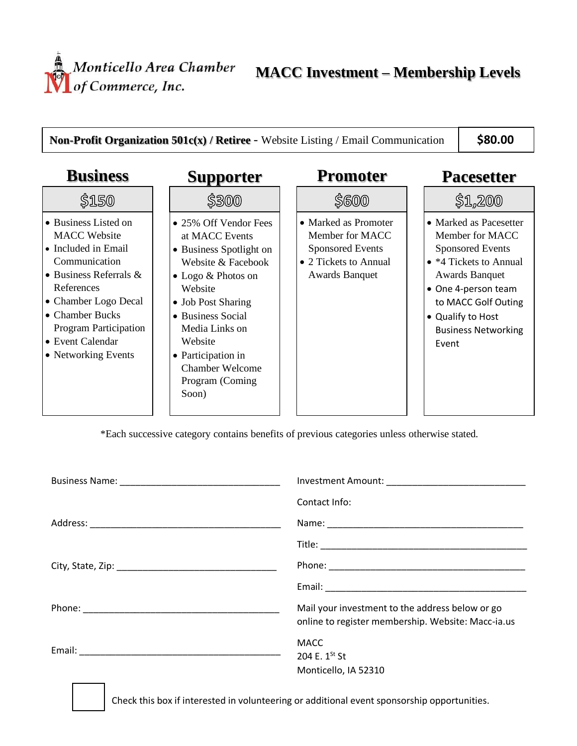

**MACC Investment – Membership Levels**

**Non-Profit Organization 501c(x) / Retiree** - Website Listing / Email Communication **\$80.00 Business Supporter Promoter Pacesetter** \$150 \$300 \$600 \$1,200 • Business Listed on • 25% Off Vendor Fees • Marked as Promoter • Marked as Pacesetter

- MACC Website • Included in Email
- Communication • Business Referrals & References
- Chamber Logo Decal
- Chamber Bucks Program Participation
- Event Calendar
- Networking Events
- at MACC Events • Business Spotlight on
- Website & Facebook • Logo & Photos on
- Website
- Job Post Sharing
- Business Social Media Links on Website • Participation in
- Chamber Welcome Program (Coming Soon)
- Member for MACC Sponsored Events
- 2 Tickets to Annual Awards Banquet

# Member for MACC

- Sponsored Events
- \*4 Tickets to Annual Awards Banquet
- One 4-person team to MACC Golf Outing
- Qualify to Host Business Networking Event

\*Each successive category contains benefits of previous categories unless otherwise stated.

| Contact Info:                                                                                         |
|-------------------------------------------------------------------------------------------------------|
|                                                                                                       |
|                                                                                                       |
|                                                                                                       |
|                                                                                                       |
| Mail your investment to the address below or go<br>online to register membership. Website: Macc-ia.us |
| <b>MACC</b><br>204 E. $1^{St}$ St<br>Monticello, IA 52310                                             |



Check this box if interested in volunteering or additional event sponsorship opportunities.